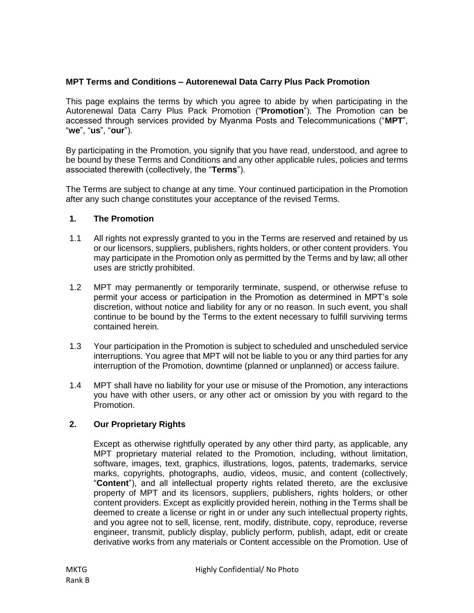## **MPT Terms and Conditions – Autorenewal Data Carry Plus Pack Promotion**

This page explains the terms by which you agree to abide by when participating in the Autorenewal Data Carry Plus Pack Promotion ("**Promotion**"). The Promotion can be accessed through services provided by Myanma Posts and Telecommunications ("**MPT**", "**we**", "**us**", "**our**").

By participating in the Promotion, you signify that you have read, understood, and agree to be bound by these Terms and Conditions and any other applicable rules, policies and terms associated therewith (collectively, the "**Terms**").

The Terms are subject to change at any time. Your continued participation in the Promotion after any such change constitutes your acceptance of the revised Terms.

### **1. The Promotion**

- 1.1 All rights not expressly granted to you in the Terms are reserved and retained by us or our licensors, suppliers, publishers, rights holders, or other content providers. You may participate in the Promotion only as permitted by the Terms and by law; all other uses are strictly prohibited.
- 1.2 MPT may permanently or temporarily terminate, suspend, or otherwise refuse to permit your access or participation in the Promotion as determined in MPT's sole discretion, without notice and liability for any or no reason. In such event, you shall continue to be bound by the Terms to the extent necessary to fulfill surviving terms contained herein.
- 1.3 Your participation in the Promotion is subject to scheduled and unscheduled service interruptions. You agree that MPT will not be liable to you or any third parties for any interruption of the Promotion, downtime (planned or unplanned) or access failure.
- 1.4 MPT shall have no liability for your use or misuse of the Promotion, any interactions you have with other users, or any other act or omission by you with regard to the Promotion.

### **2. Our Proprietary Rights**

Except as otherwise rightfully operated by any other third party, as applicable, any MPT proprietary material related to the Promotion, including, without limitation, software, images, text, graphics, illustrations, logos, patents, trademarks, service marks, copyrights, photographs, audio, videos, music, and content (collectively, "**Content**"), and all intellectual property rights related thereto, are the exclusive property of MPT and its licensors, suppliers, publishers, rights holders, or other content providers. Except as explicitly provided herein, nothing in the Terms shall be deemed to create a license or right in or under any such intellectual property rights, and you agree not to sell, license, rent, modify, distribute, copy, reproduce, reverse engineer, transmit, publicly display, publicly perform, publish, adapt, edit or create derivative works from any materials or Content accessible on the Promotion. Use of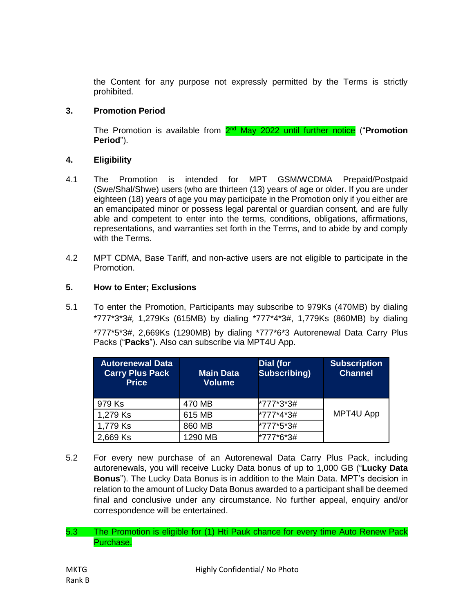the Content for any purpose not expressly permitted by the Terms is strictly prohibited.

## **3. Promotion Period**

The Promotion is available from 2<sup>nd</sup> May 2022 until further notice ("Promotion **Period**").

## **4. Eligibility**

- 4.1 The Promotion is intended for MPT GSM/WCDMA Prepaid/Postpaid (Swe/Shal/Shwe) users (who are thirteen (13) years of age or older. If you are under eighteen (18) years of age you may participate in the Promotion only if you either are an emancipated minor or possess legal parental or guardian consent, and are fully able and competent to enter into the terms, conditions, obligations, affirmations, representations, and warranties set forth in the Terms, and to abide by and comply with the Terms.
- 4.2 MPT CDMA, Base Tariff, and non-active users are not eligible to participate in the Promotion.

## **5. How to Enter; Exclusions**

5.1 To enter the Promotion, Participants may subscribe to 979Ks (470MB) by dialing \*777\*3\*3#, 1,279Ks (615MB) by dialing \*777\*4\*3#, 1,779Ks (860MB) by dialing \*777\*5\*3#, 2,669Ks (1290MB) by dialing \*777\*6\*3 Autorenewal Data Carry Plus Packs ("**Packs**"). Also can subscribe via MPT4U App.

| <b>Autorenewal Data</b><br><b>Carry Plus Pack</b><br><b>Price</b> | <b>Main Data</b><br><b>Volume</b> | <b>Dial (for</b><br><b>Subscribing</b> ) | <b>Subscription</b><br><b>Channel</b> |
|-------------------------------------------------------------------|-----------------------------------|------------------------------------------|---------------------------------------|
| 979 Ks                                                            | 470 MB                            | *777*3*3#                                |                                       |
| 1,279 Ks                                                          | 615 MB                            | *777*4*3#                                | MPT4U App                             |
| 1,779 Ks                                                          | 860 MB                            | *777*5*3#                                |                                       |
| 2,669 Ks                                                          | 1290 MB                           | *777*6*3#                                |                                       |

- 5.2 For every new purchase of an Autorenewal Data Carry Plus Pack, including autorenewals, you will receive Lucky Data bonus of up to 1,000 GB ("**Lucky Data Bonus**"). The Lucky Data Bonus is in addition to the Main Data. MPT's decision in relation to the amount of Lucky Data Bonus awarded to a participant shall be deemed final and conclusive under any circumstance. No further appeal, enquiry and/or correspondence will be entertained.
- 5.3 The Promotion is eligible for (1) Hti Pauk chance for every time Auto Renew Pack Purchase.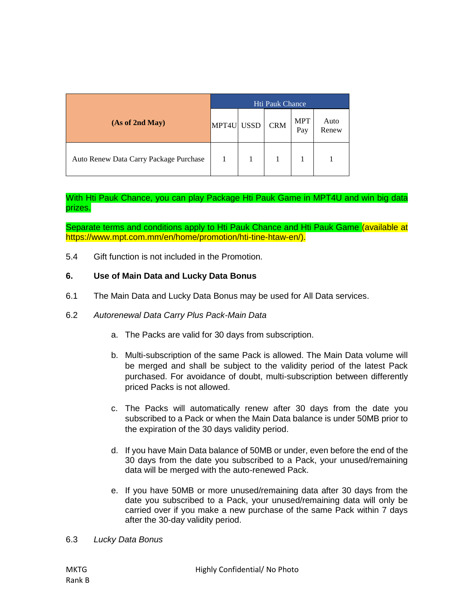|                                        | Hti Pauk Chance |  |            |                   |               |
|----------------------------------------|-----------------|--|------------|-------------------|---------------|
| (As of 2nd May)                        | MPT4U USSD      |  | <b>CRM</b> | <b>MPT</b><br>Pay | Auto<br>Renew |
| Auto Renew Data Carry Package Purchase |                 |  |            |                   |               |

With Hti Pauk Chance, you can play Package Hti Pauk Game in MPT4U and win big data prizes.

Separate terms and conditions apply to Hti Pauk Chance and Hti Pauk Game (available at https://www.mpt.com.mm/en/home/promotion/hti-tine-htaw-en/).

5.4 Gift function is not included in the Promotion.

### **6. Use of Main Data and Lucky Data Bonus**

- 6.1 The Main Data and Lucky Data Bonus may be used for All Data services.
- 6.2 *Autorenewal Data Carry Plus Pack-Main Data*
	- a. The Packs are valid for 30 days from subscription.
	- b. Multi-subscription of the same Pack is allowed. The Main Data volume will be merged and shall be subject to the validity period of the latest Pack purchased. For avoidance of doubt, multi-subscription between differently priced Packs is not allowed.
	- c. The Packs will automatically renew after 30 days from the date you subscribed to a Pack or when the Main Data balance is under 50MB prior to the expiration of the 30 days validity period.
	- d. If you have Main Data balance of 50MB or under, even before the end of the 30 days from the date you subscribed to a Pack, your unused/remaining data will be merged with the auto-renewed Pack.
	- e. If you have 50MB or more unused/remaining data after 30 days from the date you subscribed to a Pack, your unused/remaining data will only be carried over if you make a new purchase of the same Pack within 7 days after the 30-day validity period.
- 6.3 *Lucky Data Bonus*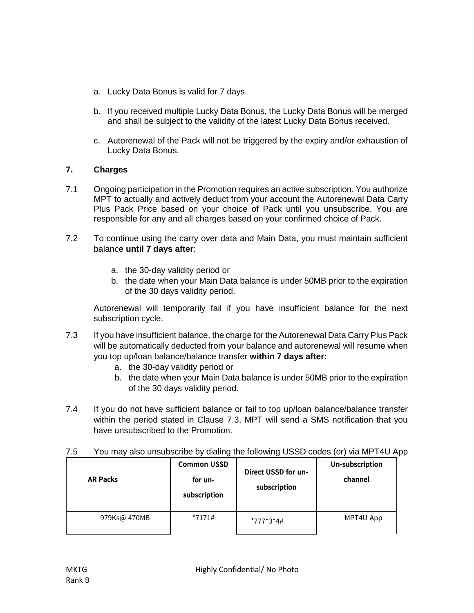- a. Lucky Data Bonus is valid for 7 days.
- b. If you received multiple Lucky Data Bonus, the Lucky Data Bonus will be merged and shall be subject to the validity of the latest Lucky Data Bonus received.
- c. Autorenewal of the Pack will not be triggered by the expiry and/or exhaustion of Lucky Data Bonus.

# **7. Charges**

- 7.1 Ongoing participation in the Promotion requires an active subscription. You authorize MPT to actually and actively deduct from your account the Autorenewal Data Carry Plus Pack Price based on your choice of Pack until you unsubscribe. You are responsible for any and all charges based on your confirmed choice of Pack.
- 7.2 To continue using the carry over data and Main Data, you must maintain sufficient balance **until 7 days after**:
	- a. the 30-day validity period or
	- b. the date when your Main Data balance is under 50MB prior to the expiration of the 30 days validity period.

Autorenewal will temporarily fail if you have insufficient balance for the next subscription cycle.

- 7.3 If you have insufficient balance, the charge for the Autorenewal Data Carry Plus Pack will be automatically deducted from your balance and autorenewal will resume when you top up/loan balance/balance transfer **within 7 days after:**
	- a. the 30-day validity period or
	- b. the date when your Main Data balance is under 50MB prior to the expiration of the 30 days validity period.
- 7.4 If you do not have sufficient balance or fail to top up/loan balance/balance transfer within the period stated in Clause 7.3, MPT will send a SMS notification that you have unsubscribed to the Promotion.

| <b>AR Packs</b> | <b>Common USSD</b><br>for un-<br>subscription | Direct USSD for un-<br>subscription | Un-subscription<br>channel |
|-----------------|-----------------------------------------------|-------------------------------------|----------------------------|
| 979Ks@ 470MB    | $*7171#$                                      | *777*3*4#                           | MPT4U App                  |

7.5 You may also unsubscribe by dialing the following USSD codes (or) via MPT4U App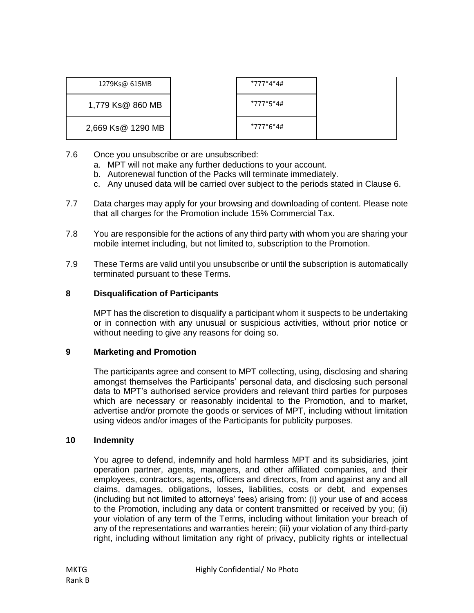| 1279Ks@ 615MB     | *777*4*4# |  |
|-------------------|-----------|--|
| 1,779 Ks@ 860 MB  | *777*5*4# |  |
| 2,669 Ks@ 1290 MB | *777*6*4# |  |

- 7.6 Once you unsubscribe or are unsubscribed:
	- a. MPT will not make any further deductions to your account.
	- b. Autorenewal function of the Packs will terminate immediately.
	- c. Any unused data will be carried over subject to the periods stated in Clause 6.
- 7.7 Data charges may apply for your browsing and downloading of content. Please note that all charges for the Promotion include 15% Commercial Tax.
- 7.8 You are responsible for the actions of any third party with whom you are sharing your mobile internet including, but not limited to, subscription to the Promotion.
- 7.9 These Terms are valid until you unsubscribe or until the subscription is automatically terminated pursuant to these Terms.

## **8 Disqualification of Participants**

MPT has the discretion to disqualify a participant whom it suspects to be undertaking or in connection with any unusual or suspicious activities, without prior notice or without needing to give any reasons for doing so.

### **9 Marketing and Promotion**

The participants agree and consent to MPT collecting, using, disclosing and sharing amongst themselves the Participants' personal data, and disclosing such personal data to MPT's authorised service providers and relevant third parties for purposes which are necessary or reasonably incidental to the Promotion, and to market, advertise and/or promote the goods or services of MPT, including without limitation using videos and/or images of the Participants for publicity purposes.

### **10 Indemnity**

You agree to defend, indemnify and hold harmless MPT and its subsidiaries, joint operation partner, agents, managers, and other affiliated companies, and their employees, contractors, agents, officers and directors, from and against any and all claims, damages, obligations, losses, liabilities, costs or debt, and expenses (including but not limited to attorneys' fees) arising from: (i) your use of and access to the Promotion, including any data or content transmitted or received by you; (ii) your violation of any term of the Terms, including without limitation your breach of any of the representations and warranties herein; (iii) your violation of any third-party right, including without limitation any right of privacy, publicity rights or intellectual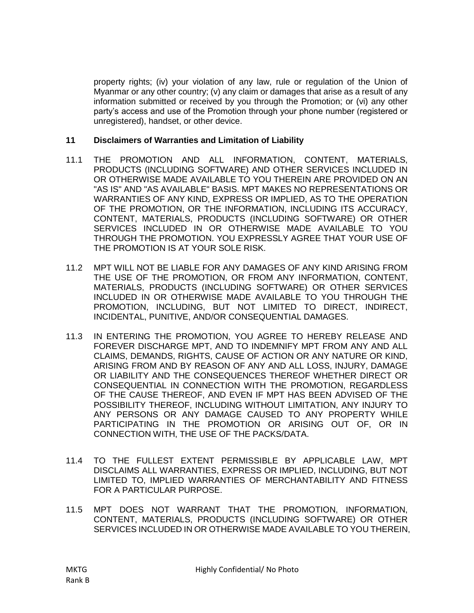property rights; (iv) your violation of any law, rule or regulation of the Union of Myanmar or any other country; (v) any claim or damages that arise as a result of any information submitted or received by you through the Promotion; or (vi) any other party's access and use of the Promotion through your phone number (registered or unregistered), handset, or other device.

### **11 Disclaimers of Warranties and Limitation of Liability**

- 11.1 THE PROMOTION AND ALL INFORMATION, CONTENT, MATERIALS, PRODUCTS (INCLUDING SOFTWARE) AND OTHER SERVICES INCLUDED IN OR OTHERWISE MADE AVAILABLE TO YOU THEREIN ARE PROVIDED ON AN "AS IS" AND "AS AVAILABLE" BASIS. MPT MAKES NO REPRESENTATIONS OR WARRANTIES OF ANY KIND, EXPRESS OR IMPLIED, AS TO THE OPERATION OF THE PROMOTION, OR THE INFORMATION, INCLUDING ITS ACCURACY, CONTENT, MATERIALS, PRODUCTS (INCLUDING SOFTWARE) OR OTHER SERVICES INCLUDED IN OR OTHERWISE MADE AVAILABLE TO YOU THROUGH THE PROMOTION. YOU EXPRESSLY AGREE THAT YOUR USE OF THE PROMOTION IS AT YOUR SOLE RISK.
- 11.2 MPT WILL NOT BE LIABLE FOR ANY DAMAGES OF ANY KIND ARISING FROM THE USE OF THE PROMOTION, OR FROM ANY INFORMATION, CONTENT, MATERIALS, PRODUCTS (INCLUDING SOFTWARE) OR OTHER SERVICES INCLUDED IN OR OTHERWISE MADE AVAILABLE TO YOU THROUGH THE PROMOTION, INCLUDING, BUT NOT LIMITED TO DIRECT, INDIRECT, INCIDENTAL, PUNITIVE, AND/OR CONSEQUENTIAL DAMAGES.
- 11.3 IN ENTERING THE PROMOTION, YOU AGREE TO HEREBY RELEASE AND FOREVER DISCHARGE MPT, AND TO INDEMNIFY MPT FROM ANY AND ALL CLAIMS, DEMANDS, RIGHTS, CAUSE OF ACTION OR ANY NATURE OR KIND, ARISING FROM AND BY REASON OF ANY AND ALL LOSS, INJURY, DAMAGE OR LIABILITY AND THE CONSEQUENCES THEREOF WHETHER DIRECT OR CONSEQUENTIAL IN CONNECTION WITH THE PROMOTION, REGARDLESS OF THE CAUSE THEREOF, AND EVEN IF MPT HAS BEEN ADVISED OF THE POSSIBILITY THEREOF, INCLUDING WITHOUT LIMITATION, ANY INJURY TO ANY PERSONS OR ANY DAMAGE CAUSED TO ANY PROPERTY WHILE PARTICIPATING IN THE PROMOTION OR ARISING OUT OF, OR IN CONNECTION WITH, THE USE OF THE PACKS/DATA.
- 11.4 TO THE FULLEST EXTENT PERMISSIBLE BY APPLICABLE LAW, MPT DISCLAIMS ALL WARRANTIES, EXPRESS OR IMPLIED, INCLUDING, BUT NOT LIMITED TO, IMPLIED WARRANTIES OF MERCHANTABILITY AND FITNESS FOR A PARTICULAR PURPOSE.
- 11.5 MPT DOES NOT WARRANT THAT THE PROMOTION, INFORMATION, CONTENT, MATERIALS, PRODUCTS (INCLUDING SOFTWARE) OR OTHER SERVICES INCLUDED IN OR OTHERWISE MADE AVAILABLE TO YOU THEREIN,